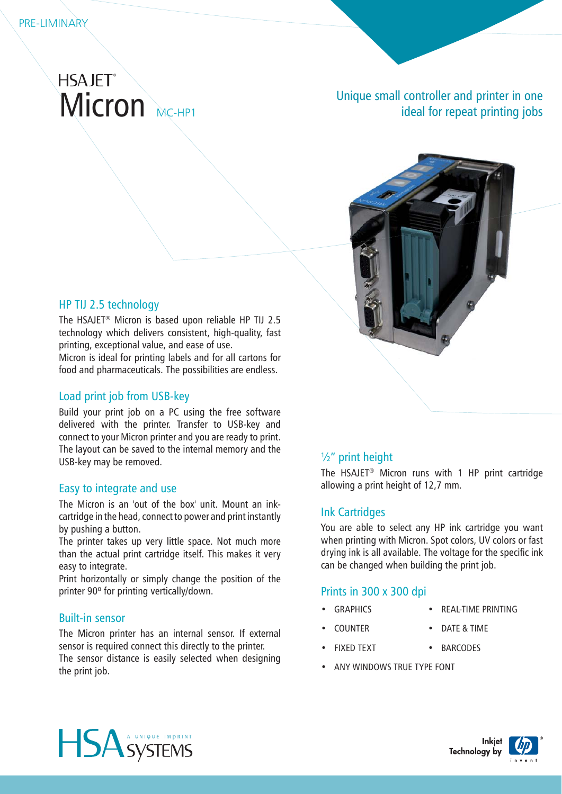# **HSAJET**® Micron MC-HP1

# Unique small controller and printer in one ideal for repeat printing jobs



#### HP TIJ 2.5 technology

The HSAJET® Micron is based upon reliable HP TIJ 2.5 technology which delivers consistent, high-quality, fast printing, exceptional value, and ease of use.

Micron is ideal for printing labels and for all cartons for food and pharmaceuticals. The possibilities are endless.

#### Load print job from USB-key

Build your print job on a PC using the free software delivered with the printer. Transfer to USB-key and connect to your Micron printer and you are ready to print. The layout can be saved to the internal memory and the USB-key may be removed.

#### Easy to integrate and use

The Micron is an 'out of the box' unit. Mount an inkcartridge in the head, connect to power and print instantly by pushing a button.

The printer takes up very little space. Not much more than the actual print cartridge itself. This makes it very easy to integrate.

Print horizontally or simply change the position of the printer 90º for printing vertically/down.

#### Built-in sensor

The Micron printer has an internal sensor. If external sensor is required connect this directly to the printer. The sensor distance is easily selected when designing the print job.

### ½" print height

The HSAJET® Micron runs with 1 HP print cartridge allowing a print height of 12,7 mm.

#### Ink Cartridges

You are able to select any HP ink cartridge you want when printing with Micron. Spot colors, UV colors or fast drying ink is all available. The voltage for the specific ink can be changed when building the print job.

#### Prints in 300 x 300 dpi

- - GRAPHICS REAL-TIME PRINTING
- •

•

- COUNTER DATE & TIME
- FIXED TEXT . BARCODES
- ANY WINDOWS TRUE TYPE FONT •